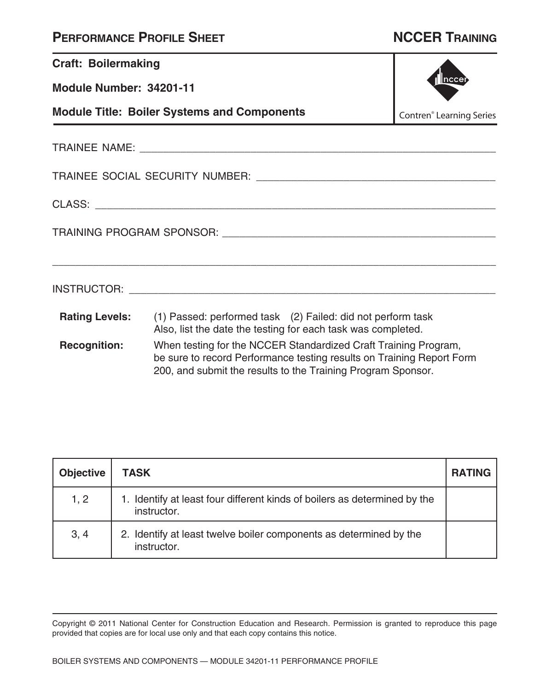| <b>Craft: Boilermaking</b>                                                                                                                                                                                                      |                                                                                                                                                                                                                               |  |
|---------------------------------------------------------------------------------------------------------------------------------------------------------------------------------------------------------------------------------|-------------------------------------------------------------------------------------------------------------------------------------------------------------------------------------------------------------------------------|--|
| Module Number: 34201-11                                                                                                                                                                                                         |                                                                                                                                                                                                                               |  |
| <b>Module Title: Boiler Systems and Components</b><br><b>Contren<sup>®</sup></b> Learning Series                                                                                                                                |                                                                                                                                                                                                                               |  |
|                                                                                                                                                                                                                                 |                                                                                                                                                                                                                               |  |
|                                                                                                                                                                                                                                 |                                                                                                                                                                                                                               |  |
|                                                                                                                                                                                                                                 |                                                                                                                                                                                                                               |  |
|                                                                                                                                                                                                                                 |                                                                                                                                                                                                                               |  |
|                                                                                                                                                                                                                                 | INSTRUCTOR: University of the contract of the contract of the contract of the contract of the contract of the contract of the contract of the contract of the contract of the contract of the contract of the contract of the |  |
|                                                                                                                                                                                                                                 | <b>Rating Levels:</b> (1) Passed: performed task (2) Failed: did not perform task<br>Also, list the date the testing for each task was completed.                                                                             |  |
| <b>Recognition:</b><br>When testing for the NCCER Standardized Craft Training Program,<br>be sure to record Performance testing results on Training Report Form<br>200, and submit the results to the Training Program Sponsor. |                                                                                                                                                                                                                               |  |

| <b>Objective</b> | <b>TASK</b>                                                                              | <b>RATING</b> |
|------------------|------------------------------------------------------------------------------------------|---------------|
| 1, 2             | 1. Identify at least four different kinds of boilers as determined by the<br>instructor. |               |
| 3, 4             | 2. Identify at least twelve boiler components as determined by the<br>instructor.        |               |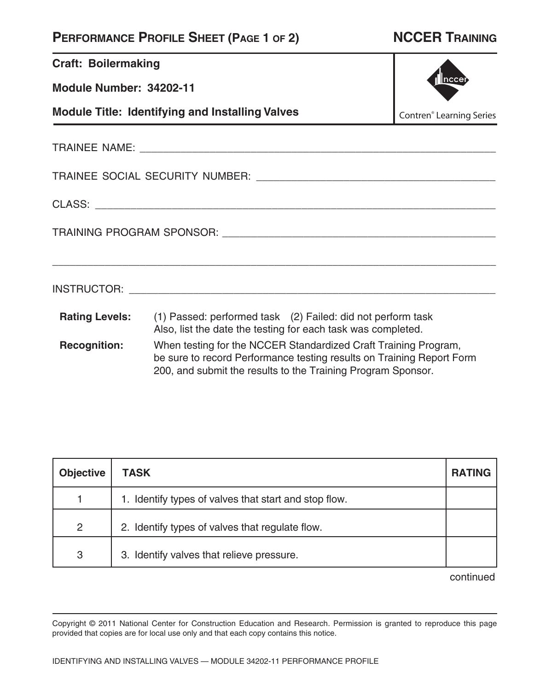# **Craft: Boilermaking**

**Module Number: 34202-11**

**Module Title: Identifying and Installing Valves**



Contren® Learning Series

TRAINEE NAME: \_\_\_\_\_\_\_\_\_\_\_\_\_\_\_\_\_\_\_\_\_\_\_\_\_\_\_\_\_\_\_\_\_\_\_\_\_\_\_\_\_\_\_\_\_\_\_\_\_\_\_\_\_\_\_\_\_\_\_\_\_ TRAINEE SOCIAL SECURITY NUMBER: \_\_\_\_\_\_\_\_\_\_\_\_\_\_\_\_\_\_\_\_\_\_\_\_\_\_\_\_\_\_\_\_\_\_\_\_\_\_\_\_\_ CLASS: \_\_\_\_\_\_\_\_\_\_\_\_\_\_\_\_\_\_\_\_\_\_\_\_\_\_\_\_\_\_\_\_\_\_\_\_\_\_\_\_\_\_\_\_\_\_\_\_\_\_\_\_\_\_\_\_\_\_\_\_\_\_\_\_\_\_\_\_ TRAINING PROGRAM SPONSOR: \_\_\_\_\_\_\_\_\_\_\_\_\_\_\_\_\_\_\_\_\_\_\_\_\_\_\_\_\_\_\_\_\_\_\_\_\_\_\_\_\_\_\_\_\_\_\_

\_\_\_\_\_\_\_\_\_\_\_\_\_\_\_\_\_\_\_\_\_\_\_\_\_\_\_\_\_\_\_\_\_\_\_\_\_\_\_\_\_\_\_\_\_\_\_\_\_\_\_\_\_\_\_\_\_\_\_\_\_\_\_\_\_\_\_\_\_\_\_\_\_\_\_\_

INSTRUCTOR: \_\_\_\_\_\_\_\_\_\_\_\_\_\_\_\_\_\_\_\_\_\_\_\_\_\_\_\_\_\_\_\_\_\_\_\_\_\_\_\_\_\_\_\_\_\_\_\_\_\_\_\_\_\_\_\_\_\_\_\_\_\_\_

**Rating Levels:** (1) Passed: performed task (2) Failed: did not perform task Also, list the date the testing for each task was completed.

**Recognition:** When testing for the NCCER Standardized Craft Training Program, be sure to record Performance testing results on Training Report Form 200, and submit the results to the Training Program Sponsor.

| <b>Objective</b> | <b>TASK</b>                                           | <b>RATING</b> |
|------------------|-------------------------------------------------------|---------------|
|                  | 1. Identify types of valves that start and stop flow. |               |
| 2                | 2. Identify types of valves that regulate flow.       |               |
| 3                | 3. Identify valves that relieve pressure.             |               |

continued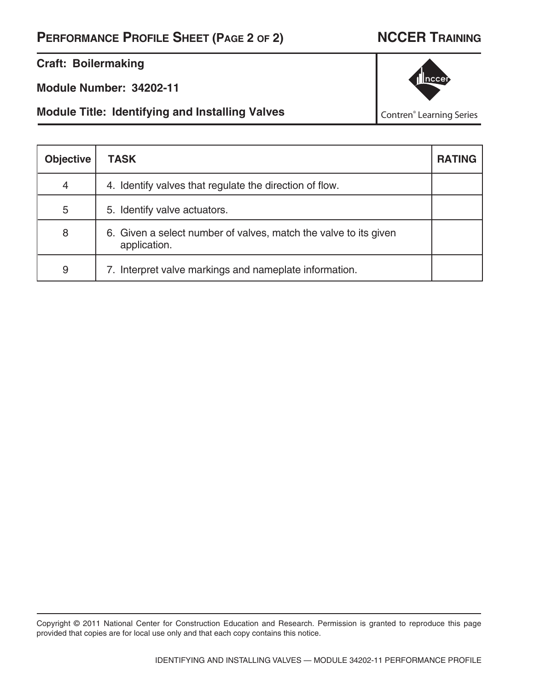**Craft: Boilermaking**

**Module Number: 34202-11**

**Module Title: Identifying and Installing Valves**



Contren® Learning Series

| <b>Objective</b> | <b>TASK</b>                                                                      | <b>RATING</b> |
|------------------|----------------------------------------------------------------------------------|---------------|
| $\overline{4}$   | 4. Identify valves that regulate the direction of flow.                          |               |
| 5                | 5. Identify valve actuators.                                                     |               |
| 8                | 6. Given a select number of valves, match the valve to its given<br>application. |               |
| 9                | 7. Interpret valve markings and nameplate information.                           |               |

Copyright © 2011 National Center for Construction Education and Research. Permission is granted to reproduce this page provided that copies are for local use only and that each copy contains this notice.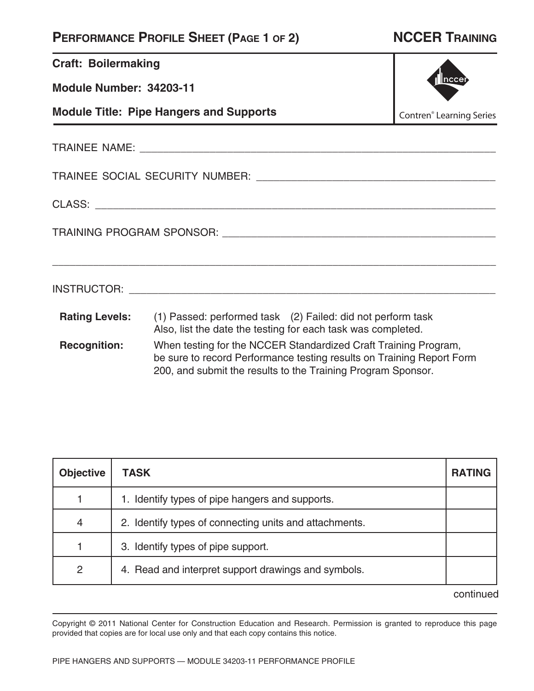| <b>Craft: Boilermaking</b>                                                                   |                                                                                                                                                                                                          |  |  |  |
|----------------------------------------------------------------------------------------------|----------------------------------------------------------------------------------------------------------------------------------------------------------------------------------------------------------|--|--|--|
| Module Number: 34203-11                                                                      | nccer                                                                                                                                                                                                    |  |  |  |
| <b>Module Title: Pipe Hangers and Supports</b><br><b>Contren<sup>®</sup></b> Learning Series |                                                                                                                                                                                                          |  |  |  |
|                                                                                              |                                                                                                                                                                                                          |  |  |  |
|                                                                                              |                                                                                                                                                                                                          |  |  |  |
|                                                                                              |                                                                                                                                                                                                          |  |  |  |
|                                                                                              |                                                                                                                                                                                                          |  |  |  |
|                                                                                              | ,我们也不能在这里的时候,我们也不能在这里的时候,我们也不能在这里的时候,我们也不能会不能在这里的时候,我们也不能会不能会不能会不能会不能会不能会不能会不能会不                                                                                                                         |  |  |  |
|                                                                                              | <b>Rating Levels:</b> (1) Passed: performed task (2) Failed: did not perform task<br>Also, list the date the testing for each task was completed.                                                        |  |  |  |
| <b>Recognition:</b>                                                                          | When testing for the NCCER Standardized Craft Training Program,<br>be sure to record Performance testing results on Training Report Form<br>200, and submit the results to the Training Program Sponsor. |  |  |  |

| <b>Objective</b> | TASK                                                   | <b>RATING</b> |
|------------------|--------------------------------------------------------|---------------|
|                  | 1. Identify types of pipe hangers and supports.        |               |
| $\overline{4}$   | 2. Identify types of connecting units and attachments. |               |
|                  | 3. Identify types of pipe support.                     |               |
| 2                | 4. Read and interpret support drawings and symbols.    |               |

continued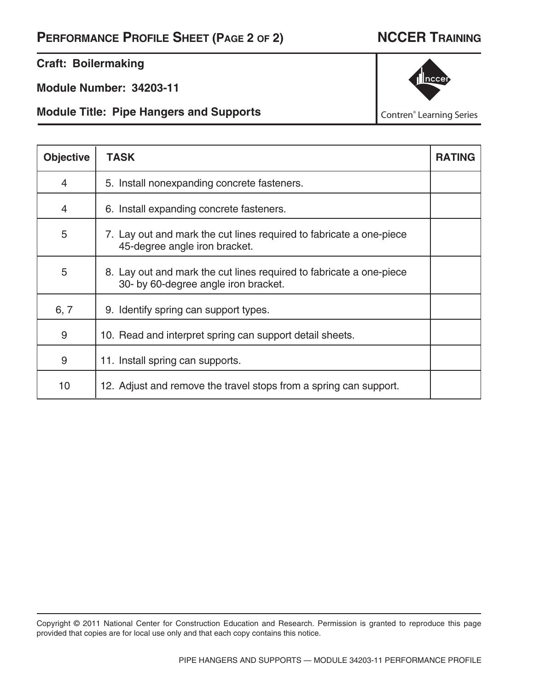# **Craft: Boilermaking**

**Module Number: 34203-11**

**Module Title: Pipe Hangers and Supports**



Contren® Learning Series

| <b>Objective</b> | TASK                                                                                                        | <b>RATING</b> |
|------------------|-------------------------------------------------------------------------------------------------------------|---------------|
| 4                | 5. Install nonexpanding concrete fasteners.                                                                 |               |
| $\overline{4}$   | 6. Install expanding concrete fasteners.                                                                    |               |
| 5                | 7. Lay out and mark the cut lines required to fabricate a one-piece<br>45-degree angle iron bracket.        |               |
| 5                | 8. Lay out and mark the cut lines required to fabricate a one-piece<br>30- by 60-degree angle iron bracket. |               |
| 6, 7             | 9. Identify spring can support types.                                                                       |               |
| 9                | 10. Read and interpret spring can support detail sheets.                                                    |               |
| 9                | 11. Install spring can supports.                                                                            |               |
| 10               | 12. Adjust and remove the travel stops from a spring can support.                                           |               |

Copyright © 2011 National Center for Construction Education and Research. Permission is granted to reproduce this page provided that copies are for local use only and that each copy contains this notice.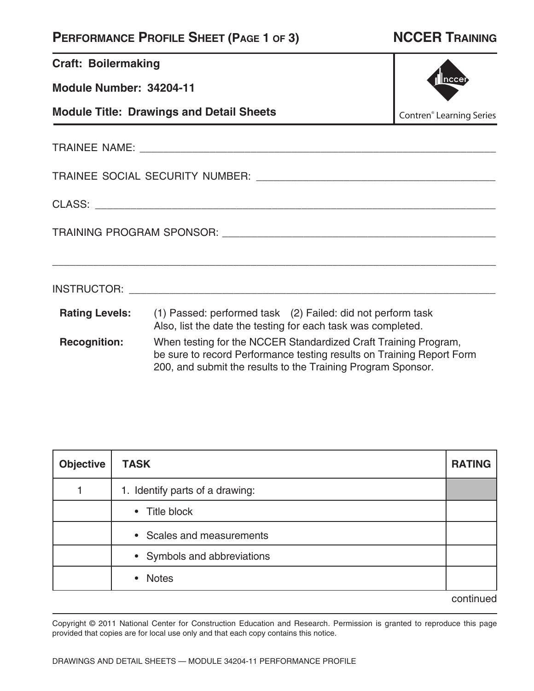| <b>Craft: Boilermaking</b>                                                                                                                                                                                                      |                                                                                                                                            |                                            |  |  |
|---------------------------------------------------------------------------------------------------------------------------------------------------------------------------------------------------------------------------------|--------------------------------------------------------------------------------------------------------------------------------------------|--------------------------------------------|--|--|
| Inccer<br>Module Number: 34204-11                                                                                                                                                                                               |                                                                                                                                            |                                            |  |  |
|                                                                                                                                                                                                                                 | <b>Module Title: Drawings and Detail Sheets</b>                                                                                            | <b>Contren<sup>®</sup></b> Learning Series |  |  |
|                                                                                                                                                                                                                                 |                                                                                                                                            |                                            |  |  |
|                                                                                                                                                                                                                                 |                                                                                                                                            |                                            |  |  |
|                                                                                                                                                                                                                                 |                                                                                                                                            |                                            |  |  |
|                                                                                                                                                                                                                                 |                                                                                                                                            |                                            |  |  |
|                                                                                                                                                                                                                                 |                                                                                                                                            |                                            |  |  |
|                                                                                                                                                                                                                                 | Rating Levels: (1) Passed: performed task (2) Failed: did not perform task<br>Also, list the date the testing for each task was completed. |                                            |  |  |
| <b>Recognition:</b><br>When testing for the NCCER Standardized Craft Training Program,<br>be sure to record Performance testing results on Training Report Form<br>200, and submit the results to the Training Program Sponsor. |                                                                                                                                            |                                            |  |  |

| <b>Objective</b> | <b>TASK</b>                     | <b>RATING</b> |
|------------------|---------------------------------|---------------|
|                  | 1. Identify parts of a drawing: |               |
|                  | • Title block                   |               |
|                  | • Scales and measurements       |               |
|                  | • Symbols and abbreviations     |               |
|                  | <b>Notes</b><br>$\bullet$       |               |
|                  |                                 | continued     |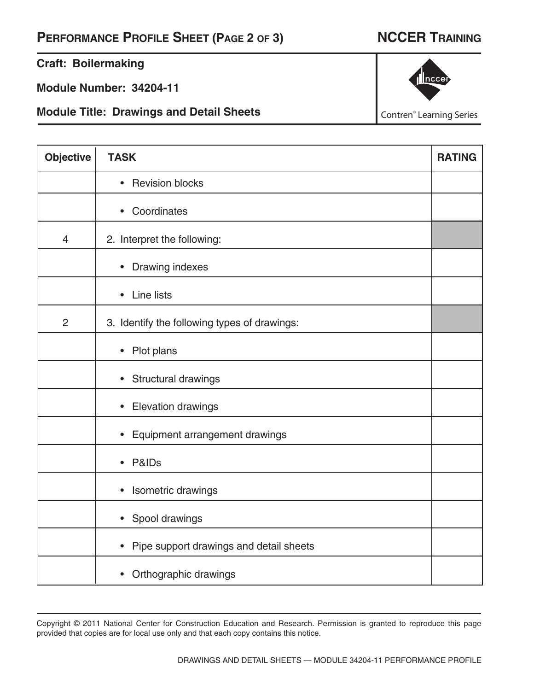**Craft: Boilermaking**

**Module Number: 34204-11**

**Module Title: Drawings and Detail Sheets**

| 1 nccer |
|---------|
|         |

Contren® Learning Series

| <b>Objective</b> | <b>TASK</b>                                          | <b>RATING</b> |
|------------------|------------------------------------------------------|---------------|
|                  | <b>Revision blocks</b><br>$\bullet$                  |               |
|                  | Coordinates<br>$\bullet$                             |               |
| $\overline{4}$   | 2. Interpret the following:                          |               |
|                  | Drawing indexes<br>$\bullet$                         |               |
|                  | Line lists<br>$\bullet$                              |               |
| $\overline{2}$   | 3. Identify the following types of drawings:         |               |
|                  | Plot plans<br>$\bullet$                              |               |
|                  | Structural drawings<br>$\bullet$                     |               |
|                  | <b>Elevation drawings</b><br>$\bullet$               |               |
|                  | Equipment arrangement drawings<br>$\bullet$          |               |
|                  | P&ID <sub>s</sub><br>$\bullet$                       |               |
|                  | Isometric drawings<br>$\bullet$                      |               |
|                  | Spool drawings<br>$\bullet$                          |               |
|                  | Pipe support drawings and detail sheets<br>$\bullet$ |               |
|                  | Orthographic drawings<br>$\bullet$                   |               |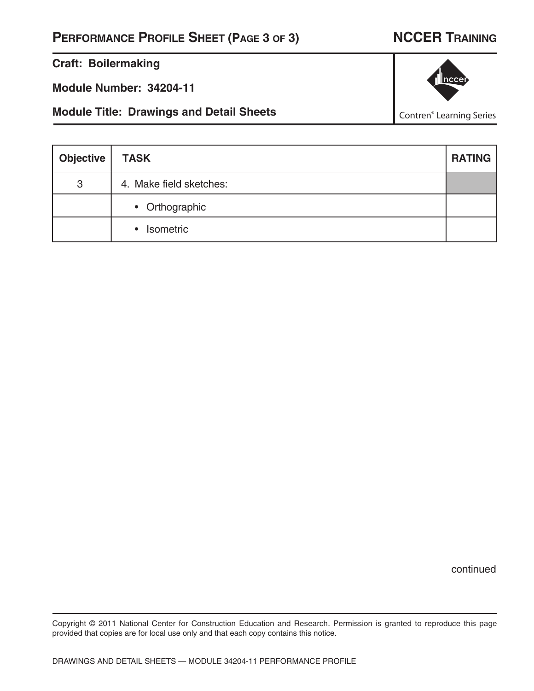### **Craft: Boilermaking**

**Module Number: 34204-11**

**Module Title: Drawings and Detail Sheets**

3 4. Make field sketches:

• Orthographic

• Isometric

|  | continued |
|--|-----------|
|  |           |

Copyright © 2011 National Center for Construction Education and Research. Permission is granted to reproduce this page provided that copies are for local use only and that each copy contains this notice.

**Objective TASK RATING** 



Contren® Learning Series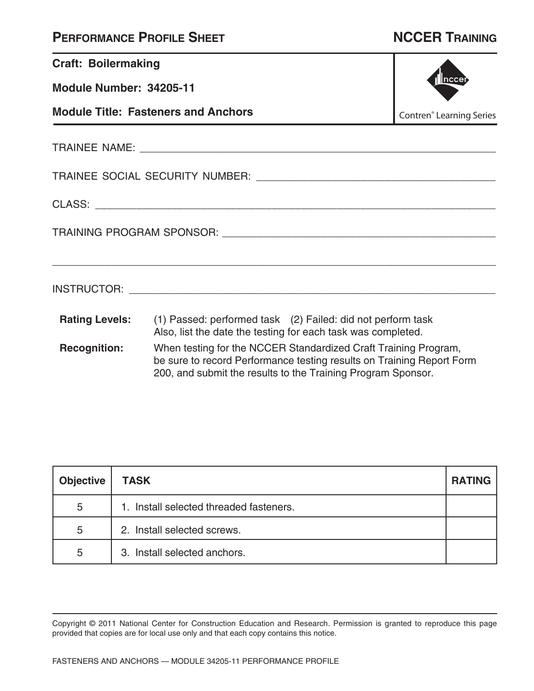|  | <b>PERFORMANCE PROFILE SHEET</b> |
|--|----------------------------------|
|--|----------------------------------|

# **NCCER TRAINING**

| <b>Craft: Boilermaking</b>                 |                                                                                                                                                                                                          |  |
|--------------------------------------------|----------------------------------------------------------------------------------------------------------------------------------------------------------------------------------------------------------|--|
| Module Number: 34205-11                    | nccer                                                                                                                                                                                                    |  |
| <b>Module Title: Fasteners and Anchors</b> | <b>Contren<sup>®</sup></b> Learning Series                                                                                                                                                               |  |
|                                            |                                                                                                                                                                                                          |  |
|                                            |                                                                                                                                                                                                          |  |
|                                            |                                                                                                                                                                                                          |  |
|                                            |                                                                                                                                                                                                          |  |
|                                            |                                                                                                                                                                                                          |  |
|                                            | <b>Rating Levels:</b> (1) Passed: performed task (2) Failed: did not perform task<br>Also, list the date the testing for each task was completed.                                                        |  |
| <b>Recognition:</b>                        | When testing for the NCCER Standardized Craft Training Program,<br>be sure to record Performance testing results on Training Report Form<br>200, and submit the results to the Training Program Sponsor. |  |

| <b>Objective</b> | <b>TASK</b>                             | <b>RATING</b> |
|------------------|-----------------------------------------|---------------|
| 5                | 1. Install selected threaded fasteners. |               |
| 5                | 2. Install selected screws.             |               |
| 5                | 3. Install selected anchors.            |               |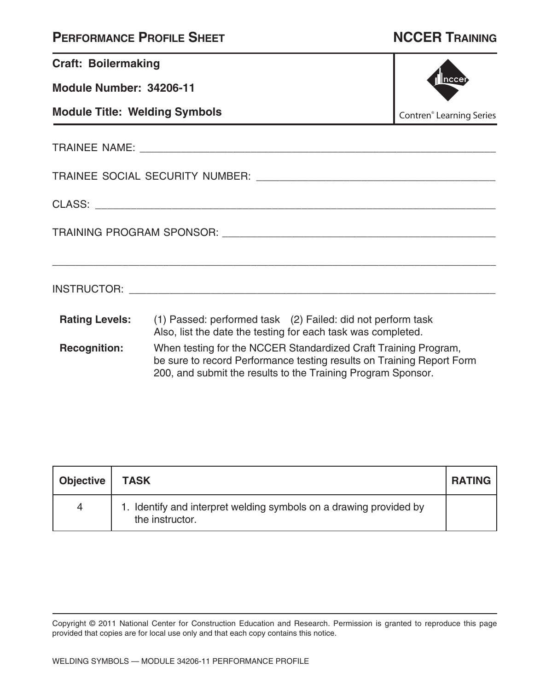| <b>Craft: Boilermaking</b>           |                                                                                                                                                                                                          |  |
|--------------------------------------|----------------------------------------------------------------------------------------------------------------------------------------------------------------------------------------------------------|--|
| Module Number: 34206-11              | Inccer                                                                                                                                                                                                   |  |
| <b>Module Title: Welding Symbols</b> | <b>Contren<sup>®</sup></b> Learning Series                                                                                                                                                               |  |
|                                      |                                                                                                                                                                                                          |  |
|                                      |                                                                                                                                                                                                          |  |
|                                      |                                                                                                                                                                                                          |  |
|                                      |                                                                                                                                                                                                          |  |
|                                      |                                                                                                                                                                                                          |  |
| <b>Rating Levels:</b>                | (1) Passed: performed task (2) Failed: did not perform task<br>Also, list the date the testing for each task was completed.                                                                              |  |
| <b>Recognition:</b>                  | When testing for the NCCER Standardized Craft Training Program,<br>be sure to record Performance testing results on Training Report Form<br>200, and submit the results to the Training Program Sponsor. |  |

| Objective   TASK |                                                                                       | <b>RATING</b> |
|------------------|---------------------------------------------------------------------------------------|---------------|
| 4                | 1. Identify and interpret welding symbols on a drawing provided by<br>the instructor. |               |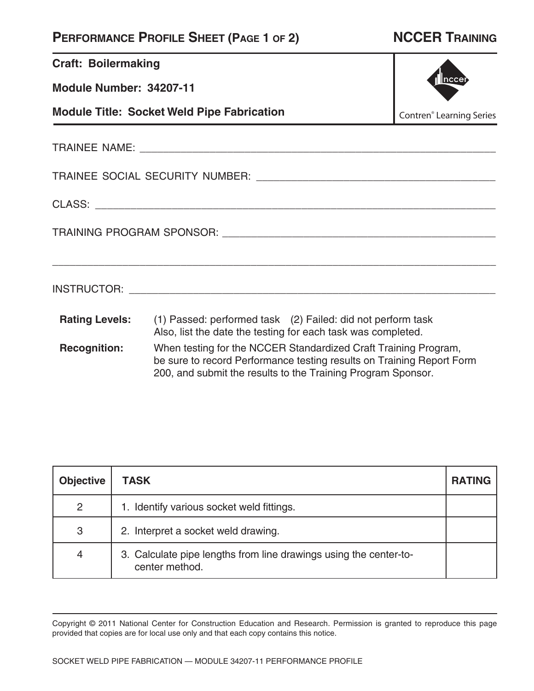| <b>Craft: Boilermaking</b>                        |                                                                                                                                                                                                          |  |
|---------------------------------------------------|----------------------------------------------------------------------------------------------------------------------------------------------------------------------------------------------------------|--|
| Module Number: 34207-11                           | Inccer                                                                                                                                                                                                   |  |
| <b>Module Title: Socket Weld Pipe Fabrication</b> | <b>Contren<sup>®</sup></b> Learning Series                                                                                                                                                               |  |
|                                                   |                                                                                                                                                                                                          |  |
|                                                   |                                                                                                                                                                                                          |  |
|                                                   |                                                                                                                                                                                                          |  |
|                                                   |                                                                                                                                                                                                          |  |
|                                                   |                                                                                                                                                                                                          |  |
| <b>Rating Levels:</b>                             | (1) Passed: performed task (2) Failed: did not perform task<br>Also, list the date the testing for each task was completed.                                                                              |  |
| <b>Recognition:</b>                               | When testing for the NCCER Standardized Craft Training Program,<br>be sure to record Performance testing results on Training Report Form<br>200, and submit the results to the Training Program Sponsor. |  |

| <b>Objective</b> | <b>TASK</b>                                                                         | <b>RATING</b> |
|------------------|-------------------------------------------------------------------------------------|---------------|
| 2                | 1. Identify various socket weld fittings.                                           |               |
| 3                | 2. Interpret a socket weld drawing.                                                 |               |
| $\overline{4}$   | 3. Calculate pipe lengths from line drawings using the center-to-<br>center method. |               |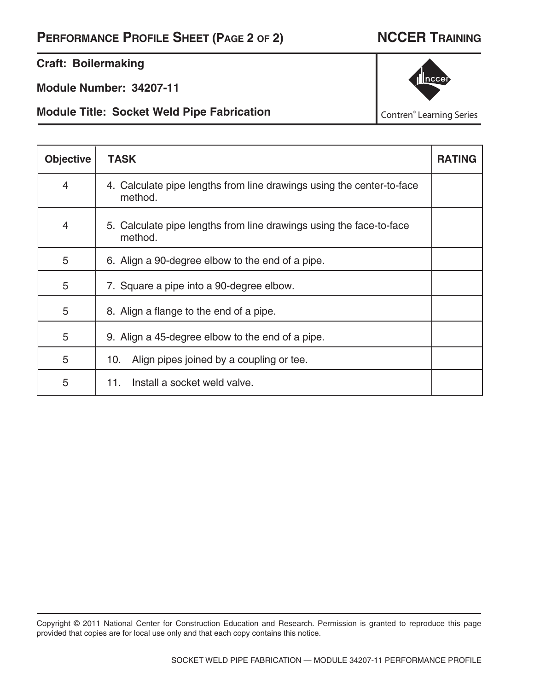**Craft: Boilermaking**

**Module Number: 34207-11**

**Module Title: Socket Weld Pipe Fabrication**



Contren® Learning Series

| <b>Objective</b> | <b>TASK</b>                                                                      | <b>RATING</b> |
|------------------|----------------------------------------------------------------------------------|---------------|
| $\overline{4}$   | 4. Calculate pipe lengths from line drawings using the center-to-face<br>method. |               |
| $\overline{4}$   | 5. Calculate pipe lengths from line drawings using the face-to-face<br>method.   |               |
| 5                | 6. Align a 90-degree elbow to the end of a pipe.                                 |               |
| 5                | 7. Square a pipe into a 90-degree elbow.                                         |               |
| 5                | 8. Align a flange to the end of a pipe.                                          |               |
| 5                | 9. Align a 45-degree elbow to the end of a pipe.                                 |               |
| 5                | Align pipes joined by a coupling or tee.<br>10.                                  |               |
| 5                | Install a socket weld valve.<br>11.                                              |               |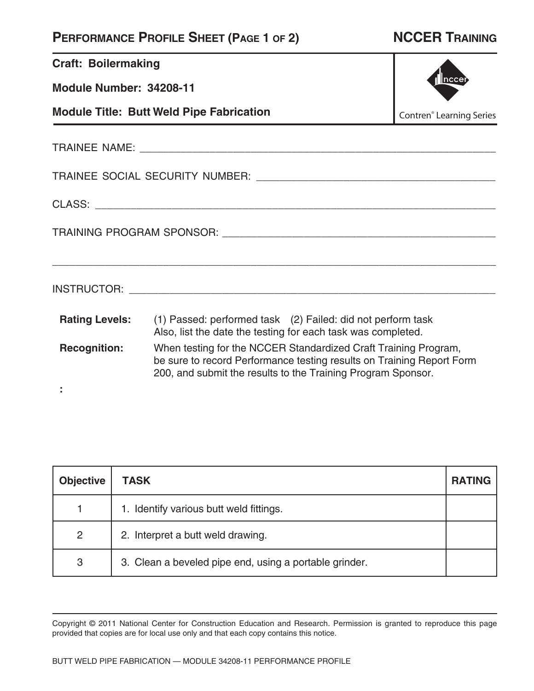| <b>Craft: Boilermaking</b>                                                                    |                                                                                                                                                                                                          |  |  |
|-----------------------------------------------------------------------------------------------|----------------------------------------------------------------------------------------------------------------------------------------------------------------------------------------------------------|--|--|
| Module Number: 34208-11                                                                       |                                                                                                                                                                                                          |  |  |
| <b>Module Title: Butt Weld Pipe Fabrication</b><br><b>Contren<sup>®</sup></b> Learning Series |                                                                                                                                                                                                          |  |  |
|                                                                                               |                                                                                                                                                                                                          |  |  |
|                                                                                               |                                                                                                                                                                                                          |  |  |
|                                                                                               |                                                                                                                                                                                                          |  |  |
|                                                                                               |                                                                                                                                                                                                          |  |  |
|                                                                                               |                                                                                                                                                                                                          |  |  |
| <b>Rating Levels:</b>                                                                         | (1) Passed: performed task (2) Failed: did not perform task<br>Also, list the date the testing for each task was completed.                                                                              |  |  |
| <b>Recognition:</b>                                                                           | When testing for the NCCER Standardized Craft Training Program,<br>be sure to record Performance testing results on Training Report Form<br>200, and submit the results to the Training Program Sponsor. |  |  |
|                                                                                               |                                                                                                                                                                                                          |  |  |

| <b>Objective</b> | <b>TASK</b>                                            | <b>RATING</b> |
|------------------|--------------------------------------------------------|---------------|
|                  | 1. Identify various butt weld fittings.                |               |
| $\overline{2}$   | 2. Interpret a butt weld drawing.                      |               |
| 3                | 3. Clean a beveled pipe end, using a portable grinder. |               |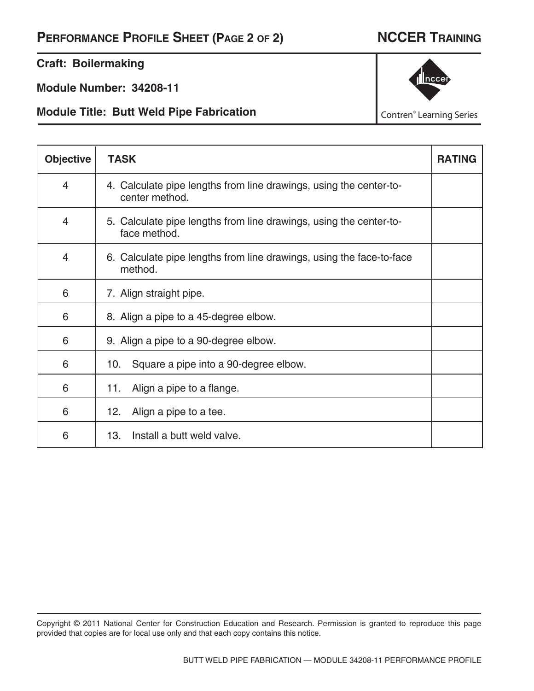### **Craft: Boilermaking**

**Module Number: 34208-11**

**Module Title: Butt Weld Pipe Fabrication**



Contren® Learning Series

| <b>Objective</b> | <b>TASK</b>                                                                          | <b>RATING</b> |
|------------------|--------------------------------------------------------------------------------------|---------------|
| 4                | 4. Calculate pipe lengths from line drawings, using the center-to-<br>center method. |               |
| $\overline{4}$   | 5. Calculate pipe lengths from line drawings, using the center-to-<br>face method.   |               |
| $\overline{4}$   | 6. Calculate pipe lengths from line drawings, using the face-to-face<br>method.      |               |
| 6                | 7. Align straight pipe.                                                              |               |
| 6                | 8. Align a pipe to a 45-degree elbow.                                                |               |
| 6                | 9. Align a pipe to a 90-degree elbow.                                                |               |
| 6                | Square a pipe into a 90-degree elbow.<br>10.                                         |               |
| 6                | Align a pipe to a flange.<br>11.                                                     |               |
| 6                | Align a pipe to a tee.<br>12.                                                        |               |
| 6                | Install a butt weld valve.<br>13.                                                    |               |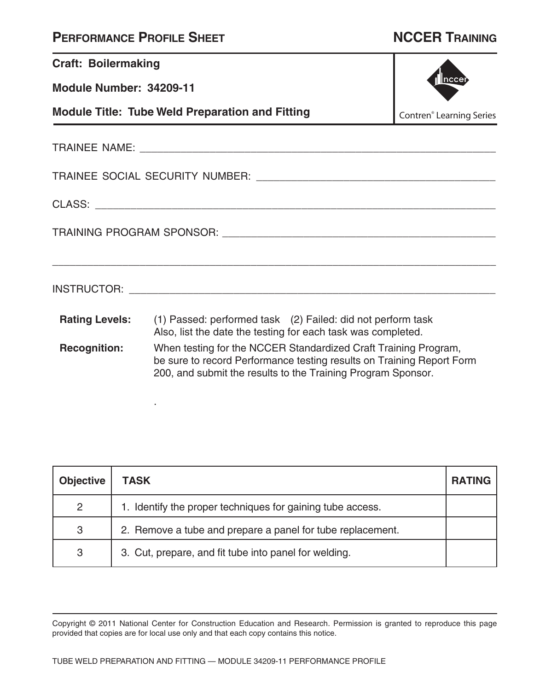.

| <b>Craft: Boilermaking</b> |                                                                                                                                                                                                          |  |  |  |  |
|----------------------------|----------------------------------------------------------------------------------------------------------------------------------------------------------------------------------------------------------|--|--|--|--|
| Module Number: 34209-11    | ncce                                                                                                                                                                                                     |  |  |  |  |
|                            | <b>Module Title: Tube Weld Preparation and Fitting</b><br><b>Contren<sup>®</sup></b> Learning Series                                                                                                     |  |  |  |  |
|                            |                                                                                                                                                                                                          |  |  |  |  |
|                            |                                                                                                                                                                                                          |  |  |  |  |
|                            |                                                                                                                                                                                                          |  |  |  |  |
|                            |                                                                                                                                                                                                          |  |  |  |  |
|                            |                                                                                                                                                                                                          |  |  |  |  |
| <b>Rating Levels:</b>      | (1) Passed: performed task (2) Failed: did not perform task<br>Also, list the date the testing for each task was completed.                                                                              |  |  |  |  |
| <b>Recognition:</b>        | When testing for the NCCER Standardized Craft Training Program,<br>be sure to record Performance testing results on Training Report Form<br>200, and submit the results to the Training Program Sponsor. |  |  |  |  |

| <b>Objective</b> | TASK                                                       | <b>RATING</b> |
|------------------|------------------------------------------------------------|---------------|
| 2                | 1. Identify the proper techniques for gaining tube access. |               |
| 3                | 2. Remove a tube and prepare a panel for tube replacement. |               |
| 3                | 3. Cut, prepare, and fit tube into panel for welding.      |               |